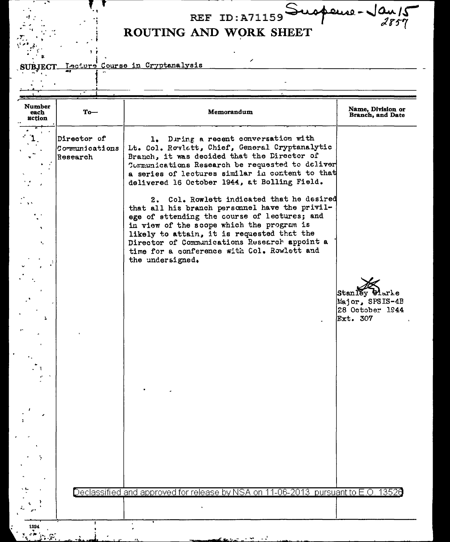## REF ID: A71159 Suspense-Jan 15 ROUTING AND WORK SHEET

z

<u>Iecture</u> Course in Cryptanalysis **SUBJECT.** 

| <b>Number</b><br>each<br>action | $To-$                                      | Memorandum                                                                                                                                                                                                                                                                                                                                                 | Name, Division or<br>Branch, and Date                                  |
|---------------------------------|--------------------------------------------|------------------------------------------------------------------------------------------------------------------------------------------------------------------------------------------------------------------------------------------------------------------------------------------------------------------------------------------------------------|------------------------------------------------------------------------|
|                                 | Director of<br> Communications<br>Research | 1. During a recent conversation with<br>Lt. Col. Rovlett, Chief, General Cryptanalytic<br>Branch, it was decided that the Director of<br>Communications Research be requested to deliver<br>a series of lectures similar in content to that<br>delivered 16 October 1944, at Bolling Field.                                                                |                                                                        |
| ×.                              |                                            | 2. Col. Rowlett indicated that he desired<br>that all his branch personnel have the privil-<br>ege of sttending the course of lectures; and<br>in view of the scope which the program is<br>likely to attain, it is requested that the<br>Director of Communications Research appoint a<br>time for a conference with Col. Rowlett and<br>the undersigned. |                                                                        |
|                                 |                                            |                                                                                                                                                                                                                                                                                                                                                            | Stanley Harke<br>Major, SPSIS-4B<br>28 October 1944<br><b>Ext. 307</b> |
|                                 |                                            |                                                                                                                                                                                                                                                                                                                                                            |                                                                        |
|                                 |                                            |                                                                                                                                                                                                                                                                                                                                                            |                                                                        |
|                                 |                                            |                                                                                                                                                                                                                                                                                                                                                            |                                                                        |
|                                 |                                            | Declassified and approved for release by NSA on 11-06-2013 pursuant to E.O. 13526                                                                                                                                                                                                                                                                          |                                                                        |